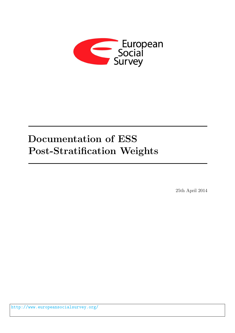

# Documentation of ESS Post-Stratification Weights

25th April 2014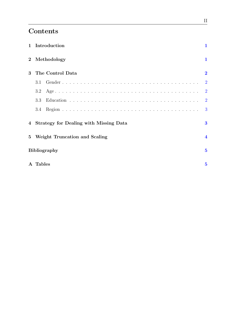# Contents

|             | 1 Introduction                           | 1                       |
|-------------|------------------------------------------|-------------------------|
| $\bf{2}$    | Methodology                              | 1                       |
| 3           | The Control Data                         | $\overline{2}$          |
|             | 3.1                                      | $\overline{2}$          |
|             | 3.2                                      | $\overline{2}$          |
|             | 3.3                                      | $\overline{2}$          |
|             | 3.4                                      | 3                       |
|             | 4 Strategy for Dealing with Missing Data | $\bf{3}$                |
| $5^{\circ}$ | Weight Truncation and Scaling            | $\overline{\mathbf{4}}$ |
|             | <b>Bibliography</b>                      | $\bf{5}$                |
|             | A Tables                                 | $\bf{5}$                |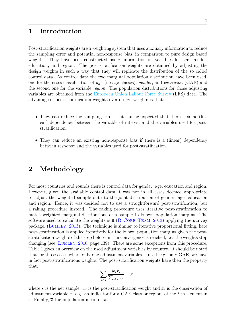# <span id="page-2-0"></span>1 Introduction

Post-stratification weights are a weighting system that uses auxiliary information to reduce the sampling error and potential non-response bias, in comparison to pure design based weights. They have been constructed using information on variables for age, gender, education, and region. The post-stratification weights are obtained by adjusting the design weights in such a way that they will replicate the distribution of the so called control data. As control data the two marginal population distribution have been used, one for the cross-classification of age (i.e age classes), gender, and education (GAE) and the second one for the variable region. The population distributions for those adjusting variables are obtained from the [European Union Labour Force Survey](http://epp.eurostat.ec.europa.eu/statistics_explained/index.php/EU_labour_force_survey) (LFS) data. The advantage of post-stratification weights over design weights is that:

- They can reduce the sampling error, if it can be expected that there is some (linear) dependency between the variable of interest and the variables used for poststratification.
- They can reduce an existing non-response bias if there is a (linear) dependency between response and the variables used for post-stratification.

### <span id="page-2-1"></span>2 Methodology

For most countries and rounds there is control data for gender, age, education and region. However, given the available control data it was not in all cases deemed appropriate to adjust the weighted sample data to the joint distribution of gender, age, education and region. Hence, it was decided not to use a straightforward post-stratification, but a raking procedure instead. The raking procedure uses iterative post-stratification to match weighted marginal distributions of a sample to known population margins. The software used to calculate the weights is R  $(R \t{CORE} \t{Team}, 2013)$  $(R \t{CORE} \t{Team}, 2013)$  applying the survey package, ([Lumley](#page-6-2), [2013\)](#page-6-2). The technique is similar to iterative proportional fitting, here post-stratification is applied iteratively for the known population margins given the poststratification weights of the step before until a convergence is reached, i.e. the weights stop changing (see, [Lumley](#page-6-3), [2010,](#page-6-3) page 139). There are some exceptions from this procedure, Table [1](#page-7-0) gives an overview on the used adjustment variables by country. It should be noted that for those cases where only one adjustment variables is used, e.g. only GAE, we have in fact post-stratifications weights. The post-stratification weights have then the property that,

$$
\sum_{i \in s} \frac{w_i x_i}{\sum_{i \in s} w_i} = \overline{x} \ ,
$$

where s is the net sample,  $w_i$  is the post-stratification weight and  $x_i$  is the observation of adjustment variable  $x$ , e.g. an indicator for a GAE class or region, of the *i*-th element in s. Finally,  $\bar{x}$  the population mean of x.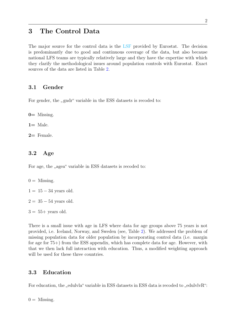## <span id="page-3-0"></span>3 The Control Data

The major source for the control data is the [LSF](http://epp.eurostat.ec.europa.eu/statistics_explained/index.php/EU_labour_force_survey) provided by Eurostat. The decision is predominantly due to good and continuous coverage of the data, but also because national LFS teams are typically relatively large and they have the expertise with which they clarify the methodological issues around population controls with Eurostat. Exact sources of the data are listed in Table [2.](#page-8-0)

#### <span id="page-3-1"></span>3.1 Gender

For gender, the "gndr" variable in the ESS datasets is recoded to:

 $0=$  Missing.

 $1=$  Male.

 $2=$  Female.

#### <span id="page-3-2"></span>3.2 Age

For age, the "agea" variable in ESS datasets is recoded to:

- $0 =$  Missing.
- $1 = 15 34$  years old.
- $2 = 35 54$  years old.
- $3 = 55 + \text{ years old.}$

There is a small issue with age in LFS where data for age groups above 75 years is not provided, i.e. Iceland, Norway, and Sweden (see, Table [2\)](#page-8-0). We addressed the problem of missing population data for older population by incorporating control data (i.e. margin for age for 75+) from the ESS appendix, which has complete data for age. However, with that we then lack full interaction with education. Thus, a modified weighting approach will be used for these three countries.

#### <span id="page-3-3"></span>3.3 Education

For education, the "edulvla" variable in ESS datasets in ESS data is recoded to "edulvlvR":

 $0 =$  Missing.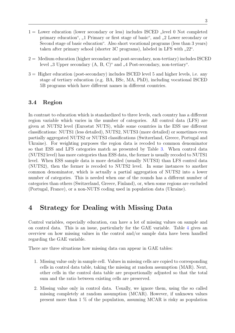- $1 =$  Lower education (lower secondary or less) includes ISCED "level 0 Not completed primary education", ",1 Primary or first stage of basic", and ",2 Lower secondary or Second stage of basic education". Also short vocational programs (less than 3 years) taken after primary school (shorter 3C programs), labeled in LFS with  $(22^{\circ})$ .
- $2 =$  Medium education (higher secondary and post-secondary, non-tertiary) includes ISCED level "3 Upper secondary (A, B, C)" and "4 Post-secondary, non-tertiary".
- 3 = Higher education (post-secondary) includes ISCED level 5 and higher levels, i.e. any stage of tertiary education (e.g. BA, BSc, MA, PhD), including vocational ISCED 5B programs which have different names in different countries.

#### <span id="page-4-0"></span>3.4 Region

In contrast to education which is standardized to three levels, each country has a different region variable which varies in the number of categories. All control data (LFS) are given at NUTS2 level (Eurostat NUTS), while some countries in the ESS use different classifications: NUTS1 (less detailed), NUTS2, NUTS3 (more detailed) or sometimes even partially aggregated NUTS2 or NUTS3 classifications (Switzerland, Greece, Portugal and Ukraine). For weighting purposes the region data is recoded to common denominator so that ESS and LFS categories match as presented by Table [3.](#page-9-0) When control data (NUTS2 level) has more categories than ESS data, the former is usually recoded to NUTS1 level. When ESS sample data is more detailed (usually NUTS3) than LFS control data (NUTS2), then the former is recoded to NUTS2 level. In some instances to another common denominator, which is actually a partial aggregation of NUTS2 into a lower number of categories. This is needed when one of the rounds has a different number of categories than others (Switzerland, Greece, Finland), or, when some regions are excluded (Portugal, France), or a non-NUTS coding used in population data (Ukraine).

# <span id="page-4-1"></span>4 Strategy for Dealing with Missing Data

Control variables, especially education, can have a lot of missing values on sample and on control data. This is an issue, particularly for the GAE variable. Table [4](#page-10-0) gives an overview on how missing values in the control and/or sample data have been handled regarding the GAE variable.

There are three situations how missing data can appear in GAE tables:

- 1. Missing value only in sample cell. Values in missing cells are copied to corresponding cells in control data table, taking the missing at random assumption (MAR). Next, other cells in the control data table are proportionally adjusted so that the total sum and the ratio between existing cells are preserved.
- 2. Missing value only in control data. Usually, we ignore them, using the so called missing completely at random assumption (MCAR). However, if unknown values present more than 1 % of the population, assuming MCAR is risky as population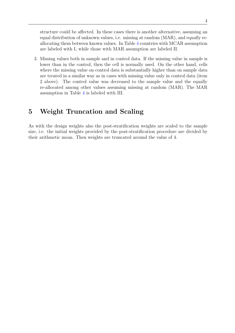structure could be affected. In these cases there is another alternative, assuming an equal distribution of unknown values, i.e. missing at random (MAR), and equally reallocating them between known values. In Table [4](#page-10-0) countries with MCAR assumption are labeled with I, while those with MAR assumption are labeled II.

3. Missing values both in sample and in control data. If the missing value in sample is lower than in the control, then the cell is normally used. On the other hand, cells where the missing value on control data is substantially higher than on sample data are treated in a similar way as in cases with missing value only in control data (item 2 above). The control value was decreased to the sample value and the equally re-allocated among other values assuming missing at random (MAR). The MAR assumption in Table [4](#page-10-0) is labeled with III.

# <span id="page-5-0"></span>5 Weight Truncation and Scaling

As with the design weights also the post-stratification weights are scaled to the sample size, i.e. the initial weights provided by the post-stratification procedure are divided by their arithmetic mean. Then weights are truncated around the value of 4.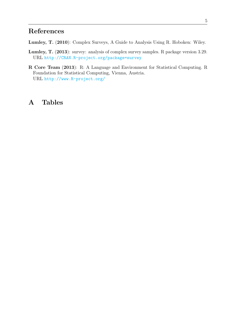# References

- <span id="page-6-3"></span>Lumley, T. (2010): Complex Surveys, A Guide to Analysis Using R. Hoboken: Wiley.
- <span id="page-6-2"></span>Lumley, T. (2013): survey: analysis of complex survey samples. R package version 3.29. URL <http://CRAN.R-project.org/package=survey>
- <span id="page-6-1"></span>R Core Team (2013): R: A Language and Environment for Statistical Computing. R Foundation for Statistical Computing, Vienna, Austria. URL <http://www.R-project.org/>

# <span id="page-6-0"></span>A Tables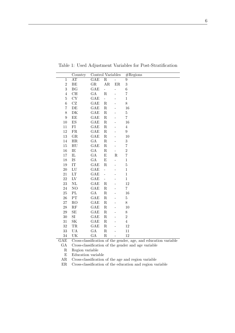|                          |                                                                                                                                                                                                                                                                                                            |                                                                                                                                                                                                                                                                                         |                                                                                                                                                                                                                                                                                                                                       | # Regions                                                                                       |
|--------------------------|------------------------------------------------------------------------------------------------------------------------------------------------------------------------------------------------------------------------------------------------------------------------------------------------------------|-----------------------------------------------------------------------------------------------------------------------------------------------------------------------------------------------------------------------------------------------------------------------------------------|---------------------------------------------------------------------------------------------------------------------------------------------------------------------------------------------------------------------------------------------------------------------------------------------------------------------------------------|-------------------------------------------------------------------------------------------------|
|                          |                                                                                                                                                                                                                                                                                                            |                                                                                                                                                                                                                                                                                         |                                                                                                                                                                                                                                                                                                                                       | 9                                                                                               |
|                          |                                                                                                                                                                                                                                                                                                            |                                                                                                                                                                                                                                                                                         |                                                                                                                                                                                                                                                                                                                                       | 3                                                                                               |
|                          |                                                                                                                                                                                                                                                                                                            |                                                                                                                                                                                                                                                                                         | -                                                                                                                                                                                                                                                                                                                                     | $\boldsymbol{6}$                                                                                |
|                          |                                                                                                                                                                                                                                                                                                            |                                                                                                                                                                                                                                                                                         |                                                                                                                                                                                                                                                                                                                                       | 7                                                                                               |
|                          |                                                                                                                                                                                                                                                                                                            | $\overline{\phantom{0}}$                                                                                                                                                                                                                                                                |                                                                                                                                                                                                                                                                                                                                       | $\,1$                                                                                           |
|                          |                                                                                                                                                                                                                                                                                                            |                                                                                                                                                                                                                                                                                         |                                                                                                                                                                                                                                                                                                                                       | 8                                                                                               |
|                          |                                                                                                                                                                                                                                                                                                            |                                                                                                                                                                                                                                                                                         |                                                                                                                                                                                                                                                                                                                                       | 16                                                                                              |
|                          |                                                                                                                                                                                                                                                                                                            |                                                                                                                                                                                                                                                                                         |                                                                                                                                                                                                                                                                                                                                       | $\overline{5}$                                                                                  |
| EE                       | GAE                                                                                                                                                                                                                                                                                                        | $\mathbf R$                                                                                                                                                                                                                                                                             |                                                                                                                                                                                                                                                                                                                                       | $\!\!7$                                                                                         |
| $\mathop{\hbox{\rm ES}}$ | GAE                                                                                                                                                                                                                                                                                                        | ${\bf R}$                                                                                                                                                                                                                                                                               |                                                                                                                                                                                                                                                                                                                                       | 16                                                                                              |
| FI                       | GAE                                                                                                                                                                                                                                                                                                        | ${\bf R}$                                                                                                                                                                                                                                                                               |                                                                                                                                                                                                                                                                                                                                       | $\overline{4}$                                                                                  |
| ${\rm FR}$               | GAE                                                                                                                                                                                                                                                                                                        | ${\bf R}$                                                                                                                                                                                                                                                                               |                                                                                                                                                                                                                                                                                                                                       | 9                                                                                               |
| GR                       | GAE                                                                                                                                                                                                                                                                                                        | ${\bf R}$                                                                                                                                                                                                                                                                               |                                                                                                                                                                                                                                                                                                                                       | 10                                                                                              |
|                          |                                                                                                                                                                                                                                                                                                            |                                                                                                                                                                                                                                                                                         |                                                                                                                                                                                                                                                                                                                                       | $\boldsymbol{3}$                                                                                |
| HU                       |                                                                                                                                                                                                                                                                                                            |                                                                                                                                                                                                                                                                                         |                                                                                                                                                                                                                                                                                                                                       | $\overline{7}$                                                                                  |
|                          |                                                                                                                                                                                                                                                                                                            |                                                                                                                                                                                                                                                                                         | $\overline{\phantom{0}}$                                                                                                                                                                                                                                                                                                              | $\overline{2}$                                                                                  |
|                          |                                                                                                                                                                                                                                                                                                            |                                                                                                                                                                                                                                                                                         |                                                                                                                                                                                                                                                                                                                                       | $\overline{7}$                                                                                  |
|                          |                                                                                                                                                                                                                                                                                                            |                                                                                                                                                                                                                                                                                         | $\overline{a}$                                                                                                                                                                                                                                                                                                                        | $\,1$                                                                                           |
|                          |                                                                                                                                                                                                                                                                                                            |                                                                                                                                                                                                                                                                                         |                                                                                                                                                                                                                                                                                                                                       | $\overline{5}$                                                                                  |
|                          |                                                                                                                                                                                                                                                                                                            | $\overline{a}$                                                                                                                                                                                                                                                                          |                                                                                                                                                                                                                                                                                                                                       | $\mathbf 1$                                                                                     |
|                          |                                                                                                                                                                                                                                                                                                            | $\overline{\phantom{0}}$                                                                                                                                                                                                                                                                |                                                                                                                                                                                                                                                                                                                                       | $\,1$                                                                                           |
|                          |                                                                                                                                                                                                                                                                                                            | $\overline{a}$                                                                                                                                                                                                                                                                          |                                                                                                                                                                                                                                                                                                                                       | $\mathbf 1$                                                                                     |
|                          |                                                                                                                                                                                                                                                                                                            |                                                                                                                                                                                                                                                                                         |                                                                                                                                                                                                                                                                                                                                       | 12                                                                                              |
|                          |                                                                                                                                                                                                                                                                                                            |                                                                                                                                                                                                                                                                                         |                                                                                                                                                                                                                                                                                                                                       | $\overline{7}$                                                                                  |
|                          |                                                                                                                                                                                                                                                                                                            |                                                                                                                                                                                                                                                                                         |                                                                                                                                                                                                                                                                                                                                       | 16                                                                                              |
|                          |                                                                                                                                                                                                                                                                                                            |                                                                                                                                                                                                                                                                                         |                                                                                                                                                                                                                                                                                                                                       | $\overline{5}$                                                                                  |
|                          |                                                                                                                                                                                                                                                                                                            |                                                                                                                                                                                                                                                                                         |                                                                                                                                                                                                                                                                                                                                       | 8                                                                                               |
|                          |                                                                                                                                                                                                                                                                                                            |                                                                                                                                                                                                                                                                                         |                                                                                                                                                                                                                                                                                                                                       | 10                                                                                              |
|                          |                                                                                                                                                                                                                                                                                                            |                                                                                                                                                                                                                                                                                         |                                                                                                                                                                                                                                                                                                                                       | 8                                                                                               |
|                          |                                                                                                                                                                                                                                                                                                            |                                                                                                                                                                                                                                                                                         |                                                                                                                                                                                                                                                                                                                                       | $\overline{2}$                                                                                  |
|                          |                                                                                                                                                                                                                                                                                                            |                                                                                                                                                                                                                                                                                         |                                                                                                                                                                                                                                                                                                                                       | $\overline{4}$                                                                                  |
|                          |                                                                                                                                                                                                                                                                                                            |                                                                                                                                                                                                                                                                                         |                                                                                                                                                                                                                                                                                                                                       | 12                                                                                              |
|                          |                                                                                                                                                                                                                                                                                                            |                                                                                                                                                                                                                                                                                         |                                                                                                                                                                                                                                                                                                                                       | 11                                                                                              |
|                          |                                                                                                                                                                                                                                                                                                            |                                                                                                                                                                                                                                                                                         |                                                                                                                                                                                                                                                                                                                                       | 12                                                                                              |
|                          |                                                                                                                                                                                                                                                                                                            |                                                                                                                                                                                                                                                                                         |                                                                                                                                                                                                                                                                                                                                       | condor 200<br>and aducation variab                                                              |
|                          | Country<br>$\overline{AT}$<br>BE<br>BG<br>CH<br>CY<br>$\operatorname{CZ}$<br>DE<br>DK<br>HR<br>IE<br>${\rm IL}$<br>IS<br>IT<br>${\rm LU}$<br>LT<br>${\rm LV}$<br>$\rm NL$<br>NO<br>$\mathbf{P}\mathbf{L}$<br>${\cal PT}$<br>RO<br>RF<br>SE<br>$\rm SI$<br>SK<br>$\operatorname{TR}$<br>$\mathbf{UA}$<br>UK | GAE<br>$_{\rm GR}$<br><b>GAE</b><br>GA<br><b>GAE</b><br><b>GAE</b><br>GAE<br>GAE<br>$\rm GA$<br>GAE<br>${\rm GA}$<br>${\rm GA}$<br>$\rm GA$<br>GAE<br>GAE<br>GAE<br><b>GAE</b><br>GAE<br>GAE<br>GA<br>GAE<br>GAE<br>GAE<br>GAE<br>GAE<br><b>GAE</b><br>GAE<br>GA<br>$\operatorname{GA}$ | $\overline{\mathrm{R}}$<br>AR<br>$\blacksquare$<br>$\mathbf R$<br>$\mathbf R$<br>$\rm R$<br>$\mathbf R$<br>$\rm R$<br>$\rm R$<br>$\rm R$<br>${\rm E}$<br>${\rm E}$<br>$\mathbf R$<br>$\rm R$<br>${\bf R}$<br>$\rm R$<br>${\bf R}$<br>${\bf R}$<br>$\rm R$<br>$\mathbf R$<br>$\rm R$<br>${\bf R}$<br>$\rm R$<br>${\bf R}$<br>${\bf R}$ | Control Variables<br>$\overline{a}$<br>$\rm ER$<br>$\mathbf R$<br>$Croce classification of the$ |

<span id="page-7-0"></span>Table 1: Used Adjustment Variables for Post-Stratification

GAE Cross-classification of the gender, age, and education variable

GA Cross-classification of the gender and age variable

R Region variable

E Education variable

AR Cross-classification of the age and region variable

ER Cross-classification of the education and region variable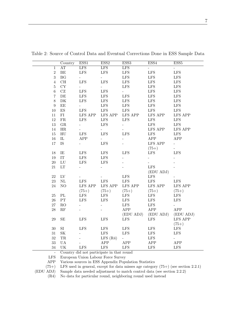|                  | Country                           | ESS1                        | ESS2                     | ESS <sub>3</sub>         | ESS4                        | ESS <sub>5</sub>         |
|------------------|-----------------------------------|-----------------------------|--------------------------|--------------------------|-----------------------------|--------------------------|
| $\overline{1}$   | <b>AT</b>                         | <b>LFS</b>                  | <b>LFS</b>               | <b>LFS</b>               | $\mathcal{L}_{\mathcal{A}}$ | Ξ.                       |
| $\overline{2}$   | $\rm BE$                          | $\operatorname{LFS}$        | LFS                      | $\operatorname{LFS}$     | $\operatorname{LFS}$        | ${\rm LFS}$              |
| 3                | BG                                |                             | $\overline{\phantom{a}}$ | <b>LFS</b>               | <b>LFS</b>                  | <b>LFS</b>               |
| $\overline{4}$   | CH                                | <b>LFS</b>                  | <b>LFS</b>               | $\operatorname{LFS}$     | <b>LFS</b>                  | <b>LFS</b>               |
| $\bf 5$          | CY                                |                             | $\Box$                   | <b>LFS</b>               | <b>LFS</b>                  | <b>LFS</b>               |
| $\,6\,$          | $\operatorname{CZ}$               | $\operatorname{LFS}$        | <b>LFS</b>               | $\overline{\phantom{a}}$ | <b>LFS</b>                  | <b>LFS</b>               |
| $\overline{7}$   | $\rm{DE}$                         | $\operatorname{LFS}$        | $\operatorname{LFS}$     | $\operatorname{LFS}$     | $\operatorname{LFS}$        | ${\rm LFS}$              |
| $8\,$            | ${\rm DK}$                        | $\operatorname{LFS}$        | LFS                      | $\operatorname{LFS}$     | $\operatorname{LFS}$        | $\operatorname{LFS}$     |
| $\boldsymbol{9}$ | $\rm{EE}$                         | $\mathcal{L}_{\mathcal{A}}$ | LFS                      | $\operatorname{LFS}$     | ${\rm LFS}$                 | ${\rm LFS}$              |
| 10               | $\mathop{\hbox{\rm ES}}$          | $\operatorname{LFS}$        | LFS                      | $\operatorname{LFS}$     | $\operatorname{LFS}$        | $\operatorname{LFS}$     |
| 11               | FI                                | LFS APP                     | <b>LFS APP</b>           | LFS APP                  | LFS APP                     | <b>LFS APP</b>           |
| 12               | ${\rm FR}$                        | <b>LFS</b>                  | <b>LFS</b>               | <b>LFS</b>               | $\operatorname{LFS}$        | <b>LFS</b>               |
| 13               | ${\rm GR}$                        |                             | <b>LFS</b>               | $\overline{a}$           | <b>LFS</b>                  | <b>LFS</b>               |
| 14               | HR                                |                             |                          |                          | <b>LFS APP</b>              | <b>LFS APP</b>           |
| $15\,$           | ${\rm H}{\rm U}$                  | $\operatorname{LFS}$        | <b>LFS</b>               | <b>LFS</b>               | LFS                         | $\operatorname{LFS}$     |
| $16\,$           | $\rm IL$                          | APP                         | $\overline{a}$           |                          | ${\rm APP}$                 | APP                      |
| 17               | IS                                | $\frac{1}{2}$               | <b>LFS</b>               |                          | <b>LFS APP</b>              | $\overline{\phantom{a}}$ |
|                  |                                   |                             |                          |                          | $(75+)$                     |                          |
| 18               | IE                                | <b>LFS</b>                  | <b>LFS</b>               | <b>LFS</b>               | <b>LFS</b>                  | <b>LFS</b>               |
| 19               | $\ensuremath{\text{IT}}$          | LFS                         | <b>LFS</b>               |                          | $\overline{\phantom{0}}$    |                          |
| $20\,$           | ${\rm LU}$                        | <b>LFS</b>                  | <b>LFS</b>               |                          |                             |                          |
| $21\,$           | $\mathop{\rm LT}\nolimits$        |                             |                          |                          | $\operatorname{LFS}$        |                          |
|                  |                                   |                             |                          |                          | (EDU ADJ)                   |                          |
| 22               | ${\rm LV}$                        |                             |                          | $\operatorname{LFS}$     | $\operatorname{LFS}$        |                          |
| $23\,$           | $\rm NL$                          | ${\rm LFS}$                 | LFS                      | $\operatorname{LFS}$     | $\operatorname{LFS}$        | $\operatorname{LFS}$     |
| 24               | NO                                | <b>LFS APP</b>              | LFS APP                  | LFS APP                  | LFS APP                     | <b>LFS APP</b>           |
|                  |                                   | $(75+)$                     | $(75+)$                  | $(75+)$                  | $(75+)$                     | $(75+)$                  |
| $25\,$           | $\rm PL$                          | <b>LFS</b>                  | <b>LFS</b>               | $\operatorname{LFS}$     | <b>LFS</b>                  | <b>LFS</b>               |
| 26               | ${\cal PT}$                       | <b>LFS</b>                  | <b>LFS</b>               | $\operatorname{LFS}$     | $\operatorname{LFS}$        | LFS                      |
| $27\,$           | RO                                |                             |                          | $\operatorname{LFS}$     | $\operatorname{LFS}$        |                          |
| $28\,$           | $\mathbf{RF}$                     |                             |                          | APP                      | ${\rm APP}$                 | ${\rm APP}$              |
|                  |                                   |                             |                          | (EDU ADJ)                | (EDU ADJ)                   | (EDU ADJ)                |
| $\,29$           | SE                                | <b>LFS</b>                  | <b>LFS</b>               | <b>LFS</b>               | <b>LFS</b>                  | <b>LFS APP</b>           |
|                  |                                   |                             |                          |                          |                             | $(75+)$                  |
| $30\,$           | $\rm{SI}$                         | <b>LFS</b>                  | <b>LFS</b>               | <b>LFS</b>               | <b>LFS</b>                  | <b>LFS</b>               |
| $31\,$           | $\ensuremath{\mathbf{SK}}\xspace$ |                             | LFS                      | <b>LFS</b>               | $\operatorname{LFS}$        | <b>LFS</b>               |
| 32               | TR                                |                             | LFS(R4)                  | $\overline{\phantom{0}}$ | $\operatorname{LFS}$        | $\overline{\phantom{0}}$ |
| $33\,$           | <b>UA</b>                         |                             | APP                      | ${\rm APP}$              | APP                         | APP                      |
| $34\,$           | UK                                | LFS                         | <b>LFS</b>               | $\operatorname{LFS}$     | LFS                         | <b>LFS</b>               |

<span id="page-8-0"></span>Table 2: Source of Control Data and Eventual Corrections Done in ESS Sample Data

- Country did not participate in that round

LFS European Union Labour Force Survey

APP Various sources in ESS Appendix Population Statistics

 $(75+)$  LFS used in general, except for data misses age category  $(75+)$  (see section 2.2.1)<br>(EDU ADJ) Sample data needed adjustment to match control data (see section 2.2.2)

Sample data needed adjustment to match control data (see section 2.2.2)

(R4) No data for particular round, neighboring round used instead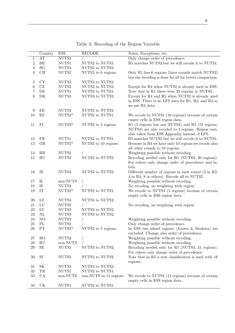<span id="page-9-0"></span>

|                  | Country             | <b>ESS</b>                | <b>RECODE</b>          | Notes, Exceptions, etc.                                                                                                                                |
|------------------|---------------------|---------------------------|------------------------|--------------------------------------------------------------------------------------------------------------------------------------------------------|
| 1                | AT                  | $\mathrm{NUTS2}$          |                        | Only change order of precedence.                                                                                                                       |
| $\overline{c}$   | $\rm BE$            | NUTS1                     | NUTS2 to NUTS1.        | R5 matches NUTS2 but we still recode it to NUTS1.                                                                                                      |
| $\boldsymbol{3}$ | <b>BG</b>           | NUTS3                     | NUTS3 to NUTS2.        |                                                                                                                                                        |
| 4                | CH                  | $\mathrm{NUTS2}$          | NUTS2 to 6 regions.    | Only R1 has 6 regions (later rounds match NUTS2)<br>but the recoding is done for all for better comparison.                                            |
| 5                | CY                  | NUTS3                     | NUTS3 to NUTS2.        |                                                                                                                                                        |
| $\boldsymbol{6}$ | CZ                  | NUTS3                     | NUTS3 to NUTS2.        | Except for R4 when NUTS2 is already used in ESS.                                                                                                       |
| 7                | DE                  | $\mathrm{NUTS1}$          | NUTS2 to NUTS1.        | Note that in R1 there were 33 regions in NUTS2.                                                                                                        |
| 8                | DK                  | NUTS3                     | NUTS3 to NUTS2.        | Except for R4 and R5 when NUTS2 is already used<br>in ESS. There is no LFS data for R1, R2, and R3 so<br>we use R4 data.                               |
| 9                | ЕE                  | NUTS3                     | NUTS3 to NUTS2.        |                                                                                                                                                        |
| 10               | ES                  | $NUTS2*$                  | NUTS2 to NUTS1.        | We recode to NUTS1 (16 regions) because of certain<br>empty cells in ESS region data.                                                                  |
| 11               | FI                  | NUTS3*                    | NUTS2 to 4 regions.    | R1 (5 regions but not NUTS2) and R5 (19 regions,<br>NUTS3) are also recoded to 4 regions. Region vari-<br>able taken from ESS Appendix instead of LFS. |
| 12               | FR                  | NUTS1                     | NUTS2 to NUTS1.        | R5 matches NUTS2 but we still recode it to NUTS1.                                                                                                      |
| 13               | GR                  | $NUTS2*$                  | NUTS2 to 10 regions.   | Because in R4 we have only 10 regions we recode also<br>all other rounds to 10 regions.                                                                |
| 14               | HR                  | NUTS <sub>2</sub>         |                        | Weighting possible without recoding.                                                                                                                   |
| 15               | H <sub>U</sub>      | NUTS2                     | NUTS3 to NUTS2.        | Recoding needed only for R5 (NUTS3, 20 regions).<br>For others only change order of precedence and la-<br>bels.                                        |
| 16               | IE                  | NUTS3                     | NUTS3 to NUTS2.        | Different number of regions in each round $(3 \text{ in } R3,$<br>4 in R4, 8 in others). Recode all to NUTS2.                                          |
| 17               | $_{\rm IL}$         | non-NUTS                  |                        | Weighting possible without recoding.                                                                                                                   |
| 18               | IS                  | $\mathrm{NUTS2}$          |                        | No recoding, no weighting with region.                                                                                                                 |
| 19               | IT                  | $NUTS2*$                  | NUTS2 to NUTS1.        | We recode to NUTS1 (5 regions) because of certain<br>empty cells in ESS region data.                                                                   |
| 20               | LT                  | NUTS3                     | NUTS3 to NUTS2.        |                                                                                                                                                        |
| 21               | ${\rm LU}$          | NUTS <sub>2</sub>         |                        | No recoding, no weighting with region.                                                                                                                 |
| $22\,$           | ${\rm LV}$          | NUTS3                     | NUTS3 to NUTS2.        |                                                                                                                                                        |
| $23\,$           | $\rm NL$            | NUTS3                     | NUTS3 to NUTS2.        |                                                                                                                                                        |
| $24\,$           | N <sub>O</sub>      | NUTS <sub>2</sub>         |                        | Weighting possible without recoding.                                                                                                                   |
| $25\,$           | PL                  | NUTS2                     |                        | Only change order of precedence.                                                                                                                       |
| 26               | PT                  | $NUTS2*$                  | NUTS2 to 5 regions.    | In ESS two island regions (Azores & Madeira) are<br>excluded. Change also order of precedence.                                                         |
| 27               | RO                  | $\mathrm{NUTS2}$          |                        | Weighting possible without recoding.                                                                                                                   |
| $28\,$           | $\mathbf{RU}$       | $\operatorname{non-NUTS}$ |                        | Weighting possible without recoding.                                                                                                                   |
| $29\,$           | $\operatorname{SE}$ | NUTS2                     | NUTS3 to NUTS2.        | Recoding needed only for R5 (NUTS3, 21 regions).<br>For others only change order of precedence.                                                        |
| $30\,$           | SI                  | NUTS3                     | NUTS3 to NUTS2.        | Note that in R5 a new classification is used with 16<br>regions.                                                                                       |
| 31               | <b>SK</b>           | NUTS3                     | NUTS3 to NUTS2.        |                                                                                                                                                        |
| $32\,$           | $\operatorname{TR}$ | NUTS1                     | NUTS2 to NUTS1.        |                                                                                                                                                        |
| $33\,$           | <b>UA</b>           | non-NUTS                  | non-NUTS to 11 regions | We recode to NUTS1 (11 regions) because of certain<br>empty cells in ESS region data.                                                                  |
| 34               | UK                  | $\mathrm{NUTS1}$          | NUTS2 to NUTS1.        |                                                                                                                                                        |

Table 3: Recoding of the Region Variable